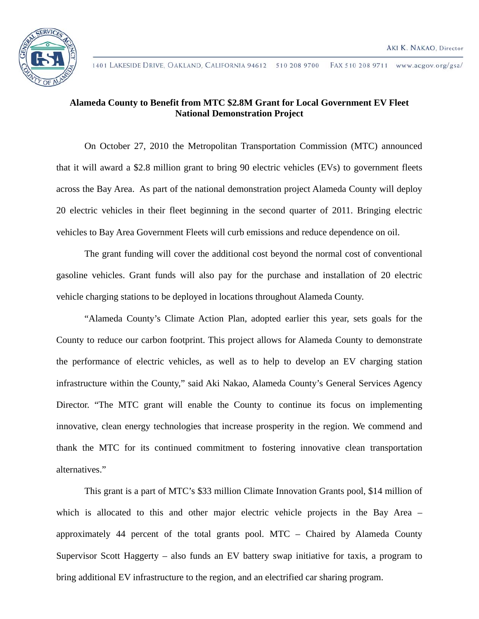

## **Alameda County to Benefit from MTC \$2.8M Grant for Local Government EV Fleet National Demonstration Project**

On October 27, 2010 the Metropolitan Transportation Commission (MTC) announced that it will award a \$2.8 million grant to bring 90 electric vehicles (EVs) to government fleets across the Bay Area. As part of the national demonstration project Alameda County will deploy 20 electric vehicles in their fleet beginning in the second quarter of 2011. Bringing electric vehicles to Bay Area Government Fleets will curb emissions and reduce dependence on oil.

The grant funding will cover the additional cost beyond the normal cost of conventional gasoline vehicles. Grant funds will also pay for the purchase and installation of 20 electric vehicle charging stations to be deployed in locations throughout Alameda County.

"Alameda County's Climate Action Plan, adopted earlier this year, sets goals for the County to reduce our carbon footprint. This project allows for Alameda County to demonstrate the performance of electric vehicles, as well as to help to develop an EV charging station infrastructure within the County," said Aki Nakao, Alameda County's General Services Agency Director. "The MTC grant will enable the County to continue its focus on implementing innovative, clean energy technologies that increase prosperity in the region. We commend and thank the MTC for its continued commitment to fostering innovative clean transportation alternatives."

This grant is a part of MTC's \$33 million Climate Innovation Grants pool, \$14 million of which is allocated to this and other major electric vehicle projects in the Bay Area – approximately 44 percent of the total grants pool. MTC – Chaired by Alameda County Supervisor Scott Haggerty – also funds an EV battery swap initiative for taxis, a program to bring additional EV infrastructure to the region, and an electrified car sharing program.